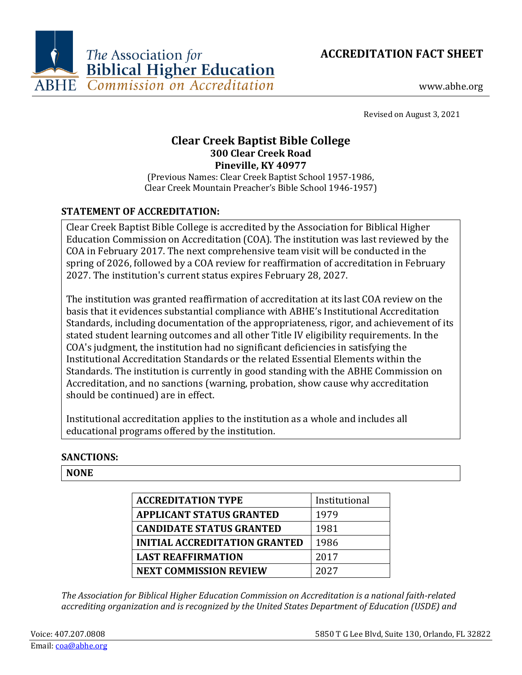



www.abhe.org

Revised on August 3, 2021

# **Clear Creek Baptist Bible College 300 Clear Creek Road Pineville, KY 40977**

(Previous Names: Clear Creek Baptist School 1957-1986, Clear Creek Mountain Preacher's Bible School 1946-1957)

## **STATEMENT OF ACCREDITATION:**

Clear Creek Baptist Bible College is accredited by the Association for Biblical Higher Education Commission on Accreditation (COA). The institution was last reviewed by the COA in February 2017. The next comprehensive team visit will be conducted in the spring of 2026, followed by a COA review for reaffirmation of accreditation in February 2027. The institution's current status expires February 28, 2027.

The institution was granted reaffirmation of accreditation at its last COA review on the basis that it evidences substantial compliance with ABHE's Institutional Accreditation Standards, including documentation of the appropriateness, rigor, and achievement of its stated student learning outcomes and all other Title IV eligibility requirements. In the COA's judgment, the institution had no significant deficiencies in satisfying the Institutional Accreditation Standards or the related Essential Elements within the Standards. The institution is currently in good standing with the ABHE Commission on Accreditation, and no sanctions (warning, probation, show cause why accreditation should be continued) are in effect.

Institutional accreditation applies to the institution as a whole and includes all educational programs offered by the institution.

#### **SANCTIONS:**

#### **NONE**

| <b>ACCREDITATION TYPE</b>            | Institutional |
|--------------------------------------|---------------|
| <b>APPLICANT STATUS GRANTED</b>      | 1979          |
| <b>CANDIDATE STATUS GRANTED</b>      | 1981          |
| <b>INITIAL ACCREDITATION GRANTED</b> | 1986          |
| <b>LAST REAFFIRMATION</b>            | 2017          |
| <b>NEXT COMMISSION REVIEW</b>        | 2027          |

*The Association for Biblical Higher Education Commission on Accreditation is a national faith-related accrediting organization and is recognized by the United States Department of Education (USDE) and*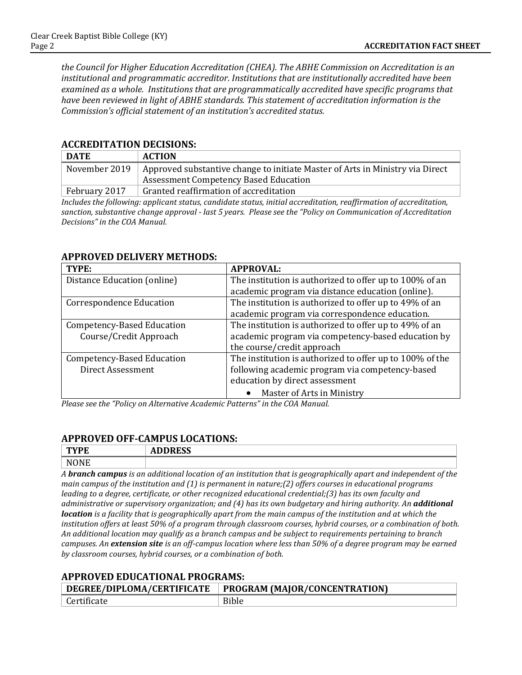*the Council for Higher Education Accreditation (CHEA). The ABHE Commission on Accreditation is an institutional and programmatic accreditor. Institutions that are institutionally accredited have been examined as a whole. Institutions that are programmatically accredited have specific programs that have been reviewed in light of ABHE standards. This statement of accreditation information is the Commission's official statement of an institution's accredited status.*

#### **ACCREDITATION DECISIONS:**

| <b>DATE</b>   | <b>ACTION</b>                                                                 |
|---------------|-------------------------------------------------------------------------------|
| November 2019 | Approved substantive change to initiate Master of Arts in Ministry via Direct |
|               | <b>Assessment Competency Based Education</b>                                  |
| February 2017 | Granted reaffirmation of accreditation                                        |

*Includes the following: applicant status, candidate status, initial accreditation, reaffirmation of accreditation, sanction, substantive change approval - last 5 years. Please see the "Policy on Communication of Accreditation Decisions" in the COA Manual.*

| TYPE:                           | <b>APPROVAL:</b>                                         |
|---------------------------------|----------------------------------------------------------|
| Distance Education (online)     | The institution is authorized to offer up to 100% of an  |
|                                 | academic program via distance education (online).        |
| <b>Correspondence Education</b> | The institution is authorized to offer up to 49% of an   |
|                                 | academic program via correspondence education.           |
| Competency-Based Education      | The institution is authorized to offer up to 49% of an   |
| Course/Credit Approach          | academic program via competency-based education by       |
|                                 | the course/credit approach                               |
| Competency-Based Education      | The institution is authorized to offer up to 100% of the |
| Direct Assessment               | following academic program via competency-based          |
|                                 | education by direct assessment                           |
|                                 | Master of Arts in Ministry                               |

#### **APPROVED DELIVERY METHODS:**

*Please see the "Policy on Alternative Academic Patterns" in the COA Manual.*

## **APPROVED OFF-CAMPUS LOCATIONS:**

| T <sub>1</sub><br>ſБ<br>--- | $\mathbf{r}$<br>ADDREJJ |
|-----------------------------|-------------------------|
|                             |                         |

*A branch campus is an additional location of an institution that is geographically apart and independent of the main campus of the institution and (1) is permanent in nature;(2) offers courses in educational programs leading to a degree, certificate, or other recognized educational credential;(3) has its own faculty and administrative or supervisory organization; and (4) has its own budgetary and hiring authority. An additional location is a facility that is geographically apart from the main campus of the institution and at which the institution offers at least 50% of a program through classroom courses, hybrid courses, or a combination of both. An additional location may qualify as a branch campus and be subject to requirements pertaining to branch campuses. An extension site is an off-campus location where less than 50% of a degree program may be earned by classroom courses, hybrid courses, or a combination of both.*

#### **APPROVED EDUCATIONAL PROGRAMS:**

| DEGREE/DIPLOMA/CERTIFICATE | <b>PROGRAM (MAJOR/CONCENTRATION)</b> |
|----------------------------|--------------------------------------|
| Certificate                | <b>Bible</b>                         |